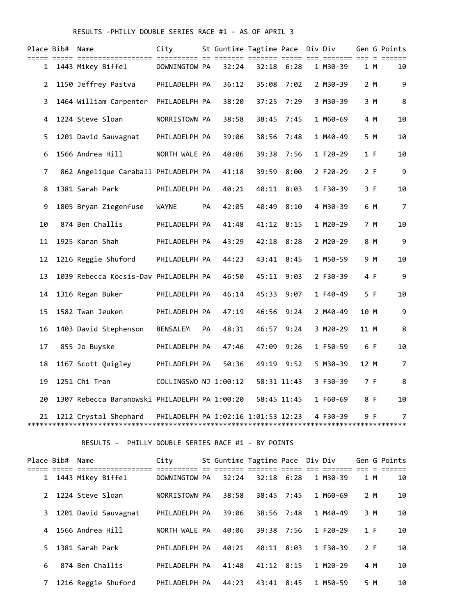## RESULTS -PHILLY DOUBLE SERIES RACE #1 - AS OF APRIL 3

|                | Place Bib#  Name |                                               | City                                |    | St Guntime Tagtime Pace Div Div |             |                |          |      |     | Gen G Points   |
|----------------|------------------|-----------------------------------------------|-------------------------------------|----|---------------------------------|-------------|----------------|----------|------|-----|----------------|
| $\mathbf{1}$   |                  | 1443 Mikey Biffel                             | DOWNINGTOW PA                       |    | 32:24                           |             | $32:18$ $6:28$ | 1 M30-39 |      | 1 M | 10             |
| $\overline{2}$ |                  | 1150 Jeffrey Pastva                           | PHILADELPH PA                       |    | 36:12                           | 35:08       | 7:02           | 2 M30-39 |      | 2 M | 9              |
| 3              |                  | 1464 William Carpenter PHILADELPH PA          |                                     |    | 38:20                           | 37:25       | 7:29           | 3 M30-39 |      | 3 M | 8              |
| 4              |                  | 1224 Steve Sloan                              | NORRISTOWN PA                       |    | 38:58                           | 38:45       | 7:45           | 1 M60-69 | 4 M  |     | 10             |
| 5              |                  | 1201 David Sauvagnat                          | PHILADELPH PA                       |    | 39:06                           | 38:56       | 7:48           | 1 M40-49 |      | 5 M | 10             |
| 6              |                  | 1566 Andrea Hill                              | NORTH WALE PA                       |    | 40:06                           | 39:38       | 7:56           | 1 F20-29 | 1 F  |     | 10             |
| 7              |                  | 862 Angelique Caraball PHILADELPH PA          |                                     |    | 41:18                           | 39:59       | 8:00           | 2 F20-29 | 2 F  |     | 9              |
| 8              |                  | 1381 Sarah Park                               | PHILADELPH PA                       |    | 40:21                           | 40:11       | 8:03           | 1 F30-39 | 3 F  |     | 10             |
| 9              |                  | 1805 Bryan Ziegenfuse                         | WAYNE                               | PA | 42:05                           | 40:49       | 8:10           | 4 M30-39 | 6 M  |     | $\overline{7}$ |
| 10             |                  | 874 Ben Challis                               | PHILADELPH PA                       |    | 41:48                           | 41:12       | 8:15           | 1 M20-29 |      | 7 M | 10             |
| 11             |                  | 1925 Karan Shah                               | PHILADELPH PA                       |    | 43:29                           | 42:18       | 8:28           | 2 M20-29 | 8 M  |     | 9              |
| 12             |                  | 1216 Reggie Shuford                           | PHILADELPH PA                       |    | 44:23                           | 43:41       | 8:45           | 1 M50-59 | 9 M  |     | 10             |
| 13             |                  | 1039 Rebecca Kocsis-Dav PHILADELPH PA         |                                     |    | 46:50                           | 45:11       | 9:03           | 2 F30-39 | 4 F  |     | 9              |
| 14             |                  | 1316 Regan Buker                              | PHILADELPH PA                       |    | 46:14                           | 45:33       | 9:07           | 1 F40-49 | 5 F  |     | 10             |
| 15             |                  | 1582 Twan Jeuken                              | PHILADELPH PA                       |    | 47:19                           | 46:56       | 9:24           | 2 M40-49 | 10 M |     | 9              |
| 16             |                  | 1403 David Stephenson                         | BENSALEM                            | PA | 48:31                           | 46:57       | 9:24           | 3 M20-29 | 11 M |     | 8              |
| 17             |                  | 855 Jo Buyske                                 | PHILADELPH PA                       |    | 47:46                           | 47:09       | 9:26           | 1 F50-59 | 6 F  |     | 10             |
| 18             |                  | 1167 Scott Quigley                            | PHILADELPH PA                       |    | 50:36                           | 49:19       | 9:52           | 5 M30-39 | 12 M |     | 7              |
| 19             |                  | 1251 Chi Tran                                 | COLLINGSWO NJ 1:00:12               |    |                                 | 58:31 11:43 |                | 3 F30-39 | 7 F  |     | 8              |
| 20             |                  | 1307 Rebecca Baranowski PHILADELPH PA 1:00:20 |                                     |    |                                 |             | 58:45 11:45    | 1 F60-69 | 8 F  |     | 10             |
| 21             |                  | 1212 Crystal Shephard                         | PHILADELPH PA 1:02:16 1:01:53 12:23 |    |                                 |             |                | 4 F30-39 | 9 F  |     | 7              |

RESULTS - PHILLY DOUBLE SERIES RACE #1 - BY POINTS

|               |                                 | City            |       | St Guntime Tagtime Pace Div Div |      |                           |     | Gen G Points |
|---------------|---------------------------------|-----------------|-------|---------------------------------|------|---------------------------|-----|--------------|
|               | =============================== |                 |       |                                 |      |                           |     |              |
| $\mathbf{1}$  | 1443 Mikey Biffel               | DOWNINGTOW PA   | 32:24 | 32:18                           | 6:28 | 1 M30-39                  | 1 M | 10           |
| $\mathcal{P}$ | 1224 Steve Sloan                | NORRISTOWN PA   | 38:58 | 38:45                           | 7:45 | 1 M60-69                  | 2 M | 10           |
|               |                                 |                 |       |                                 |      |                           |     |              |
| 3             | 1201 David Sauvagnat            | PHILADELPH PA   | 39:06 | 38:56                           | 7:48 | 1 M40-49                  | 3 M | 10           |
| 4             | 1566 Andrea Hill                | NORTH WALE PA   | 40:06 | 39:38                           | 7:56 | 1 F20-29                  | 1 F | 10           |
| 5.            | 1381 Sarah Park                 | PHTI ADFI PH PA | 40:21 | 40:11                           | 8:03 | 1 F30-39                  | 2 F | 10           |
| 6             | 874 Ben Challis                 | PHILADELPH PA   | 41:48 | 41:12                           | 8:15 | $1$ M <sub>2</sub> $0-29$ | 4 M | 10           |
| 7             | 1216 Reggie Shuford             | PHILADELPH PA   | 44:23 | 43:41                           | 8:45 | 1 M50-59                  | 5 M | 10           |